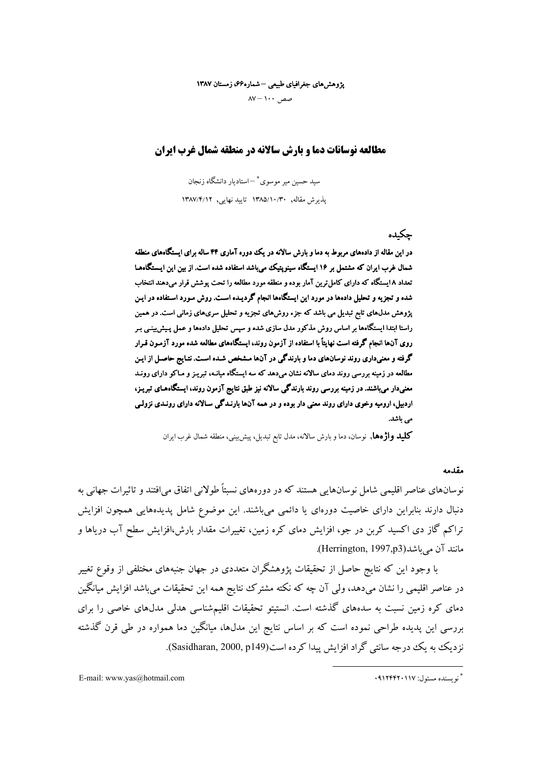پژوهشهای جغرافیای طبیعی –شماره۶۶، زمستان ۱۳۸۷

 $\Delta V - 1$ ۰۰ مصر

# مطالعه نوسانات دما و بارش سالانه در منطقه شمال غرب ایران

سید حسین میر موسوی \* —استادیار دانشگاه زنجان یذیرش مقاله, ۱۳۸۵/۱۰/۳۰ تایید نهایی, ۱۳۸۷/۴/۱۲

# حكىدە

در این مقاله از دادههای مربوط به دما و بارش سالانه در یک دوره آماری ۴۴ ساله برای ایستگاههای منطقه شمال غرب ایران که مشتمل بر ۱۶ ایستگاه سینویتیک می باشد استفاده شده است. از بین این ایستگاهها تعداد ۸ ایستگاه که دارای کامل ترین آمار بوده و منطقه مورد مطالعه را تحت پوشش قرار میدهند انتخاب شده و تجزیه و تحلیل دادهها در مورد این ایستگاهها انجام گردیـده اسـت. روش مـورد اسـتفاده در ایـن پژوهش مدلهای تابع تبدیل می باشد که جزء روشهای تجزیه و تحلیل سریهای زمانی است. در همین راستا ابتدا ایستگاهها بر اساس روش مذکور مدل سازی شده و سپس تحلیل دادهها و عمل پیش بینی بـر روی آنها انجام گرفته است نهایتاً با استفاده از آزمون روند، ایستگاههای مطالعه شده مورد آزمـون قـرار گرفته و معنیداری روند نوسانهای دما و بارندگی در آنها مشخص شده است. نتـایج حاصـل از ایـن مطالعه در زمینه بررسی روند دمای سالانه نشان میدهد که سه ایستگاه میانـه، تبریـز و مـاکو دارای رونـد معنیدار میباشند. در زمینه بررسی روند بارندگی سالانه نیز طبق نتایج آزمون روند، ایستگاههـای تبریـز، اردييل، اروميه وخوى داراي روند معنى دار بوده و در همه آنها بارنـدگي سـالانه داراي رونـدي نزولـي مے ،باشد.

**كليد واژهها**, نوسان، دما و بارش سالانه، مدل تابع تبديل، پيش پيني، منطقه شمال غرب ايران

#### مقدمه

نوسانهای عناصر اقلیمی شامل نوسانهایی هستند که در دورههای نسبتاً طولانی اتفاق می\فتند و تاثیرات جهانی به دنبال دارند بنابراین دارای خاصیت دورهای یا دائمی میباشند. این موضوع شامل پدیدههایی همچون افزایش تراکم گاز دی اکسید کربن در جو، افزایش دمای کره زمین، تغییرات مقدار بارش،افزایش سطح آب دریاها و مانند آن می باشد (Herrington, 1997,p3).

با وجود این که نتایج حاصل از تحقیقات پژوهشگران متعددی در جهان جنبههای مختلفی از وقوع تغییر در عناصر اقلیمی را نشان میدهد، ولی آن چه که نکته مشترک نتایج همه این تحقیقات می باشد افزایش میانگین دمای کره زمین نسبت به سدههای گذشته است. انستیتو تحقیقات اقلیمشناسی هدلی مدلهای خاصی را برای بررسی این پدیده طراحی نموده است که بر اساس نتایج این مدل۵ا، میانگین دما همواره در طی قرن گذشته نز دیک به یک درجه سانتی گراد افزایش پیدا کرده است(Sasidharan, 2000, p149).

E-mail: www.vas@hotmail.com

<sup>\*</sup> نه بسنده مسئول: ۹۱۲۴۴۲۰۱۱۷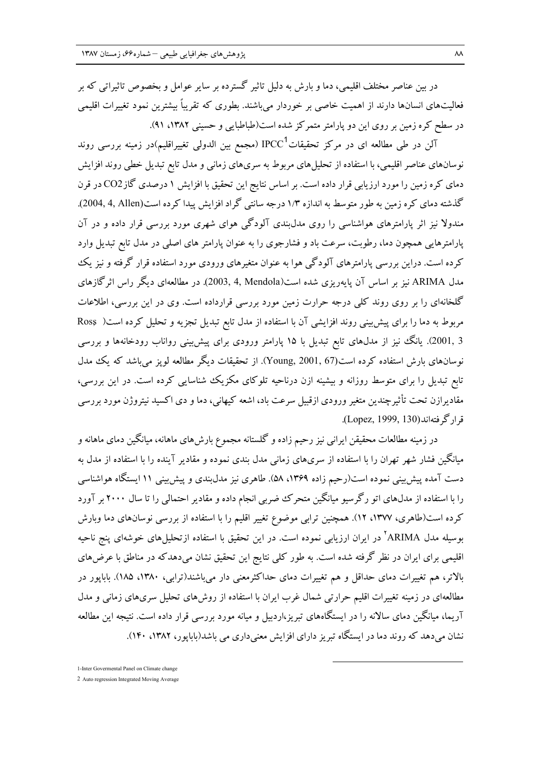در بین عناصر مختلف اقلیمی، دما و بارش به دلیل تاثیر گسترده بر سایر عوامل و بخصوص تاثیراتی که بر فعالیتهای انسانها دارند از اهمیت خاصی بر خوردار می باشند. بطوری که تقریباً بیشترین نمود تغییرات اقلیمی در سطح کره زمین بر روی این دو یارامتر متمرکز شده است(طباطبایی و حسینی ۱۳۸۲، ۹۱).

آلن در طی مطالعه ای در مرکز تحقیقات $\mathrm{PCC}^1$  (مجمع بین الدولی تغییراقلیم)در زمینه بررسی روند نوسانهای عناصر اقلیمی، با استفاده از تحلیل های مربوط به سریهای زمانی و مدل تابع تبدیل خطی روند افزایش دمای کره زمین را مورد ارزیابی قرار داده است. بر اساس نتایج این تحقیق با افزایش ۱ درصدی گازCO2 در قرن گذشته دمای کره زمین به طور متوسط به اندازه ۱/۳ درجه سانتی گراد افزایش پیدا کرده است(2004, 4, Allen). مندولا نیز اثر پارامترهای هواشناسی را روی مدل بندی آلودگی هوای شهری مورد بررسی قرار داده و در آن پارامترهایی همچون دما، رطوبت، سرعت باد و فشارجوی را به عنوان پارامتر های اصلی در مدل تابع تبدیل وارد کرده است. دراین بررسی پارامترهای آلودگی هوا به عنوان متغیرهای ورودی مورد استفاده قرار گرفته و نیز یک مدل ARIMA نیز بر اساس آن پایهریزی شده است(2003, 4, Mendola). در مطالعهای دیگر راس اثرگازهای گلخانهای را بر روی روند کلی درجه حرارت زمین مورد بررسی قرارداده است. وی در این بررسی، اطلاعات مربوط به دما را برای پیش بینی روند افزایشی آن با استفاده از مدل تابع تبدیل تجزیه و تحلیل کرده است( Ross 3 ,2001). یانگ نیز از مدل،های تابع تبدیل با ۱۵ پارامتر ورودی برای پیش بینی رواناب رودخانهها و بررسی نوسانهای بارش استفاده کرده است(Young, 2001, 67). از تحقیقات دیگر مطالعه لویز می باشد که یک مدل تابع تبدیل را برای متوسط روزانه و بیشینه ازن درناحیه تلوکای مکزیک شناسایی کرده است. در این بررسی، مقادیرازن تحت تأثیرچندین متغیر ورودی ازقبیل سرعت باد، اشعه کیهانی، دما و دی اکسید نیتروژن مورد بررسی قرار گے فته اند (Lopez, 1999, 130).

در زمینه مطالعات محقیقن ایرانی نیز رحیم زاده و گلستانه مجموع بارش۵های ماهانه، میانگین دمای ماهانه و میانگین فشار شهر تهران را با استفاده از سریهای زمانی مدل بندی نموده و مقادیر آینده را با استفاده از مدل به دست آمده پیش بینی نموده است(رحیم زاده ۱۳۶۹، ۵۸). طاهری نیز مدل بندی و پیش بینی ۱۱ ایستگاه هواشناسی را با استفاده از مدلهای اتو رگرسیو میانگین متحرک ضربی انجام داده و مقادیر احتمالی را تا سال ۲۰۰۰ بر آورد کرده است(طاهری، ۱۳۷۷، ۱۲). همچنین ترابی موضوع تغییر اقلیم را با استفاده از بررسی نوسانهای دما وبارش بوسیله مدل ARIMA<sup>۲</sup> در ایران ارزیابی نموده است. در این تحقیق با استفاده ازتحلیل۵ای خوشهای پنج ناحیه اقلیمی برای ایران در نظر گرفته شده است. به طور کلبی نتایج این تحقیق نشان میدهدکه در مناطق با عرضهای بالاتر، هم تغییرات دمای حداقل و هم تغییرات دمای حداکثرمعنی دار میباشند(ترابی، ۱۳۸۰، ۱۸۵). بابایور در مطالعهای در زمینه تغییرات اقلیم حرارتی شمال غرب ایران با استفاده از روش های تحلیل سری های زمانی و مدل .<br>آریما، میانگین دمای سالانه را در ایستگاههای تبریز،اردبیل و میانه مورد بررسی قرار داده است. نتیجه این مطالعه نشان می دهد که روند دما در ایستگاه تبریز دارای افزایش معنی داری می باشد(بابایور، ۱۳۸۲، ۱۴۰).

2 Auto regression Integrated Moving Average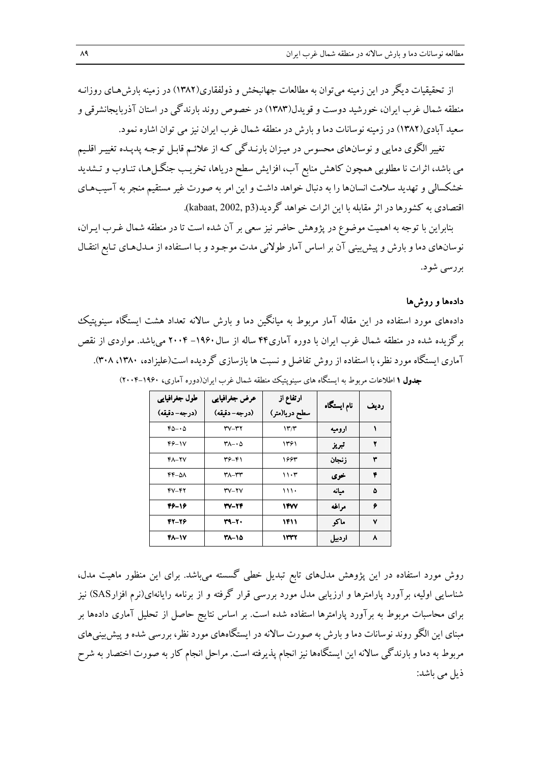از تحقیقیات دیگر در این زمینه می توان به مطالعات جهانیخش و ذولفقاری(۱۳۸۲) در زمینه بارش هیای روزانیه منطقه شمال غرب ایران، خورشید دوست و قویدل(۱۳۸۳) در خصوص روند بارندگی در استان آذربایجانشرقی و سعید آبادی(۱۳۸۲) در زمینه نوسانات دما و بارش در منطقه شمال غرب ایران نیز می توان اشاره نمود.

تغییر الگوی دمایی و نوسانهای محسوس در میـزان بارنـدگی کـه از علائـم قابـل توجـه پدیـده تغییـر اقلـیم می باشد، اثرات نا مطلوبی همچون کاهش منابع آب، افزایش سطح دریاها، تخریب جنگـل(هـا، تنـاوب و تـشدید خشکسالی و تهدید سلامت انسانها را به دنبال خواهد داشت و این امر به صورت غیر مستقیم منجر به آسیبهای اقتصادی به کشورها در اثر مقابله با این اثرات خواهد گردید(kabaat, 2002, p3).

بنابراین با توجه به اهمیت موضوع در پژوهش حاضر نیز سعی بر آن شده است تا در منطقه شمال غـرب ایـران، نوسانهای دما و بارش و پیش بینی آن بر اساس آمار طولانی مدت موجـود و بـا اسـتفاده از مـدل۱هـای تـابع انتقـال بررسي شود.

## دادمها و روشها

دادههای مورد استفاده در این مقاله آمار مربوط به میانگین دما و بارش سالانه تعداد هشت ایستگاه سینویتیک برگزیده شده در منطقه شمال غرب ایران با دوره آماری۴۴ ساله از سال۱۹۶۰–۲۰۰۴ میباشد. مواردی از نقص آماری ایستگاه مورد نظر، با استفاده از روش تفاضل و نسبت ها بازسازی گر دیده است(علیزاده، ۱۳۸۰، ۳۰۸). جدول ۱ اطلاعات مربوط به ایستگاه های سینوپتیک منطقه شمال غرب ایران(دوره آماری، ۱۹۶۰–۲۰۰۴)

| طول جغرافيايي      | عرض جغرافيايي                       | ارتفاع از     | نام ایستگاه | رديف |
|--------------------|-------------------------------------|---------------|-------------|------|
| (درجه- دقيقه)      | (درجه- دقيقه)                       | سطح دريا(متر) |             |      |
| $60 - 0$           | ۳۷-۳۲                               | ۱۳/۳          | اروميه      |      |
| 46-17              | $\mathsf{r}_{\Lambda-}\cdot \Delta$ | ۱۳۶۱          | تبريز       | ۲    |
| $Y - YV$           | 36-41                               | 1663          | ز نجان      | ۳    |
| $FF-\Delta\Lambda$ | ۳۸-۳۳                               | ۱۱۰۳          | خوى         | ۴    |
| 47-42              | $TV-YV$                             | 111.          | ميانه       | ۵    |
| 46-16              | 37-74                               | <b>۱۴W</b>    | مراغه       | ۶    |
| 42-26              | 39-20                               | ۱۴۱۱          | ماكو        | ۷    |
| <b>FA-1V</b>       | 21-18                               | ۱۳۳۲          | اردبيل      | ۸    |

روش مورد استفاده در این پژوهش مدلهای تابع تبدیل خطی گسسته میباشد. برای این منظور ماهیت مدل، شناسایی اولیه، برآورد پارامترها و ارزیابی مدل مورد بررسی قرار گرفته و از برنامه رایانهای(نرم افزارSAS) نیز برای محاسبات مربوط به بر آورد پارامترها استفاده شده است. بر اساس نتایج حاصل از تحلیل آماری دادهها بر مبنای این الگو روند نوسانات دما و بارش به صورت سالانه در ایستگاههای مورد نظر، بررسی شده و پیش بینیهای مربوط به دما و بارندگی سالانه این ایستگاهها نیز انجام پذیرفته است. مراحل انجام کار به صورت اختصار به شرح ذيل مي باشد: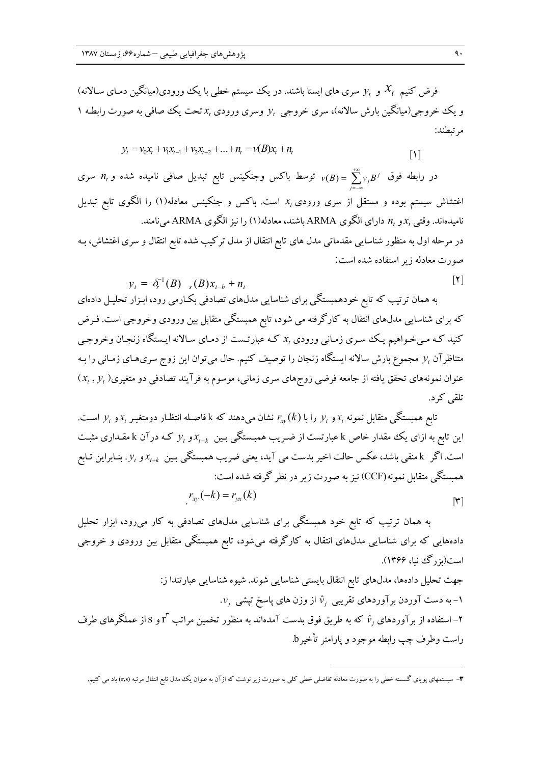فرض کنیم  $\mathcal{X}_t$  و  $\mathcal{Y}_t$  سری های ایستا باشند. در یک سیستم خطی با یک ورودی(میانگین دمـای سـالانه) و یک خووجی(میانگین بارش سالانه)، سری خروجی  $y^{}_{t}$  وسری ورودی  $x^{}_{t}$  تحت یک صافی به صورت رابطـه ۱ مرتبطند:

$$
y_t = v_0 x_t + v_1 x_{t-1} + v_2 x_{t-2} + \dots + n_t = v(B) x_t + n_t
$$

در رابطه فوق  $v_jB^j = \sum_{j=0}^{+\infty} v_jB^j = \frac{1}{2}$  توسط باکس وجنکینس تابع تبدیل صافی نامیده شده و  $n_t$  سری اغتشاش سیستم بوده و مستقل از سری ورودی  $x_t$  است. باکس و جنکینس معادله(۱) را الگوی تابع تبدیل نامیدهاند. وقتی  $x_t$ و  $n$  دارای الگوی ARMA باشند، معادله(۱) را نیز الگوی ARMA می نامند. در مرحله اول به منظور شناسایی مقدماتی مدل های تابع انتقال از مدل ترکیب شده تابع انتقال و سری اغتشاش، بـه صورت معادله زير استفاده شده است:

$$
y_t = \delta_t^{-1}(B)_{s}(B)x_{t-b} + n_t
$$

به همان ترتیب که تابع خودهمبستگی برای شناسایی مدل۵عای تصادفی بکـارمی رود، ابـزار تحلیـل دادهای که برای شناسایی مدلهای انتقال به کارگرفته می شود، تابع همبستگی متقابل بین ورودی وخروجی است. فـرض کنید کـه مـیخـواهیم یـک سـري زمـاني ورودي  $x$  کـه عبارتـست از دمـاي سـالانه ايـستگاه زنجـان وخروجـي متناظرآن  $y$  مجموع بارش سالانه ایستگاه زنجان را توصیف کنیم. حال میتوان این زوج سریهای زمـانی را بـه  $(x_t\,,y_t\,)$ عنوان نمونههای تحقق یافته از جامعه فرضی زوجهای سری زمانی، موسوم به فرآیند تصادفی دو متغیری تلقى كرد.

تابع همبستگی متقابل نمونه  $x_t$ و  $y$  را با  $r_{\text{xv}}(k)$  نشان میدهند که k فاصـله انتظـار دومتغیـر  $x$ و  $y$  اسـت. این تابع به ازای یک مقدار خاص k عبارتست از ضـریب همبـستگی بـین  $x_{t-k}$ و  $y_t$  کـه درآن k مقـداری مثبـت است. اگر k منفی باشد، عکس حالت اخیر بدست می آید، یعنی ضریب همبستگی بین  $x_{i+k}$ و  $y_t$ . بنابراین تـابع همبستگی متقابل نمونه(CCF) نیز به صورت زیر در نظر گرفته شده است:  $r_{\rm w}(-k) = r_{\rm w}(k)$  $\lceil r \rceil$ 

به همان ترتیب که تابع خود همبستگی برای شناسایی مدلهای تصادفی به کار میرود، ابزار تحلیل دادههایی که برای شناسایی مدل۵های انتقال به کارگرفته میشود، تابع همبستگی متقابل بین ورودی و خروجی است(ىزرگ نيا، ۱۳۶۶). جهت تحلیل دادهها، مدلهای تابع انتقال بایستی شناسایی شوند. شیوه شناسایی عبارتندا ز:

. $v_j$  - به دست آوردن برآوردهای تقریبی  $\hat{v}_j$  از وزن های پاسخ تیشی  $v_j$ 

– استفاده از بر آوردهای  $\hat{v}$  که به طریق فوق بدست آمدهاند به منظور تخمین مراتب  $r^r$  و s از عملگر های طرف راست وطرف چپ رابطه موجود و یارامتر تأخیر b.

۳- سیستمهای پویای گسسته خطی را به صورت معادله تفاضلی خطی کلی به صورت زیر نوشت که ازآن به عنوان یک مدل تابع انتقال مرتبه (r,s) یاد می کنیم.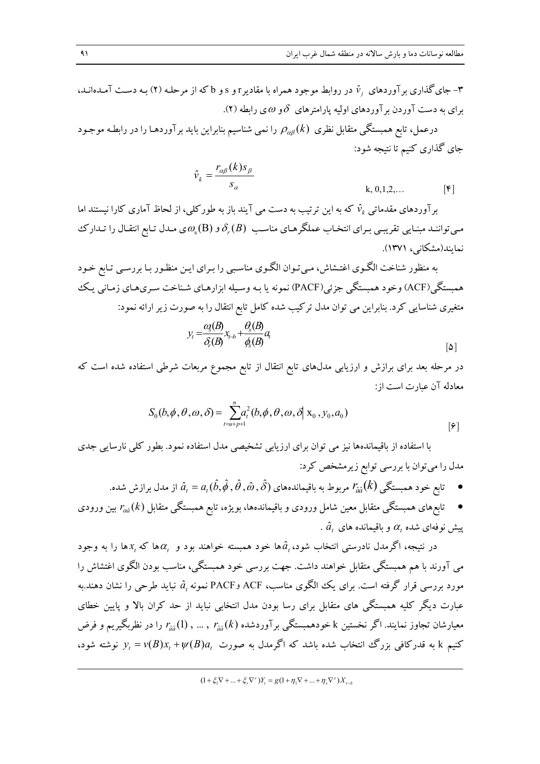– جای گذاری بر آوردهای  $\hat{v}_i$  در روابط موجود همراه با مقادیر r و s و b که از مرحلـه (۲) بـه دسـت آمـدهانـد، برای به دست آوردن برآوردهای اولیه پارامترهای  $\,\delta\,$ و  $\omega$ ی رابطه (۲).

درعمل، تابع همبستگی متقابل نظری  $\rho_{\alpha\beta}(k)$  را نمی شناسیم بنابراین باید برآوردهـا را در رابطـه موجـود جای گذاری کنیم تا نتیجه شود:

$$
\hat{v}_k = \frac{r_{\alpha\beta}(k)s_{\beta}}{s_{\alpha}}
$$
\n
$$
k, 0, 1, 2, \dots
$$

برآوردهای مقدماتی  $\hat{v}_k$  که به این ترتیب به دست می آیند باز به طورکلی، از لحاظ آماری کارا نیستند اما می تواننـد مبنـایی تقریبـی بـرای انتخـاب عملگرهـای مناسـب  $\delta_r(B)$ و  $\mathcal{O}_{\rm s}({\rm B})$ ی مـدل تـابع انتقـال را تـدار ک نمایند(مشکانی، ۱۳۷۱).

به منظور شناخت الگـوی اغتـشاش، مـیتـوان الگـوی مناسـبی را بـرای ایـن منظـور بـا بررسـی تـابع خـود همبستگی(ACF) وخود همبستگی جزئی(PACF) نمونه یا بـه وسـیله ابزارهـای شـناخت سـریهـای زمـانی یـک متغیری شناسایی کرد. بنابراین می توان مدل ترکیب شده کامل تابع انتقال را به صورت زیر ارائه نمود:

$$
y_t = \frac{a_s(B)}{\delta_r(B)} x_{t-b} + \frac{\theta_s(B)}{\phi_s(B)} a_t
$$

در مرحله بعد برای برازش و ارزیابی مدلهای تابع انتقال از تابع مجموع مربعات شرطی استفاده شده است که معادله آن عبارت است از:

$$
S_0(b, \phi, \theta, \omega, \delta) = \sum_{t=u+p+1}^{n} a_t^2(b, \phi, \theta, \omega, \delta | \mathbf{x}_0, \mathbf{y}_0, a_0)
$$
 [9]

با استفاده از باقیماندهها نیز می توان برای ارزیابی تشخیصی مدل استفاده نمود. بطور کلی نارسایی جدی مدل را می توان با بررسی توابع زیرمشخص کرد:

- ا تابع خود همبستگی  $r_{\hat a \hat a}(k)$  مربوط به باقیماندههای  $\hat a,\hat\theta,\hat\theta,\hat\theta,\hat\theta$  از مدل برازش شده.  $r_{\hat a \hat a}(k)$
- ه ستابعههای همبستگی متقابل معین شامل ورودی و باقیماندهها، بویژه، تابع همبستگی متقابل  $r_{\alpha\hat a}(k)$  بین ورودی  $\bullet$ . پیش نوفهای شده  $\alpha_t$  و باقیمانده های  $\hat{a}_t$

در نتیجه، اگرمدل نادرستی انتخاب شود، $\hat{a}_t$ ها خود همبسته خواهند بود و  $\alpha_t$ ها که  $x_t$ ها را به وجود می آورند با هم همبستگی متقابل خواهند داشت. جهت بررسی خود همبستگی، مناسب بودن الگوی اغتشاش را مورد بررسی قرار گرفته است. برای یک الگوی مناسب، ACF وPACF نمونه , $\hat{a}$  نباید طرحی را نشان دهند.به عبارت دیگر کلیه همبستگی های متقابل برای رسا بودن مدل انتخابی نباید از حد کران بالا و پایین خطای معیارشان تجاوز نمایند. اگر نخستین k خودهمبستگی برآوردشده ( $r_{\hat a \hat a}(k)$  , … ,  $r_{\hat a \hat a}(1)$  را در نظربگیریم و فرض کنیم k به قدرکافی بزرگ انتخاب شده باشد که اگرمدل به صورت  $\mu(V(B)a_t + V(B)a_t + V$  نوشته شود،

 $(1 + \xi_1 \nabla + ... + \xi_r \nabla^r) Y_t = g(1 + \eta_1 \nabla + ... + \eta_s \nabla^s) X_{t-h}$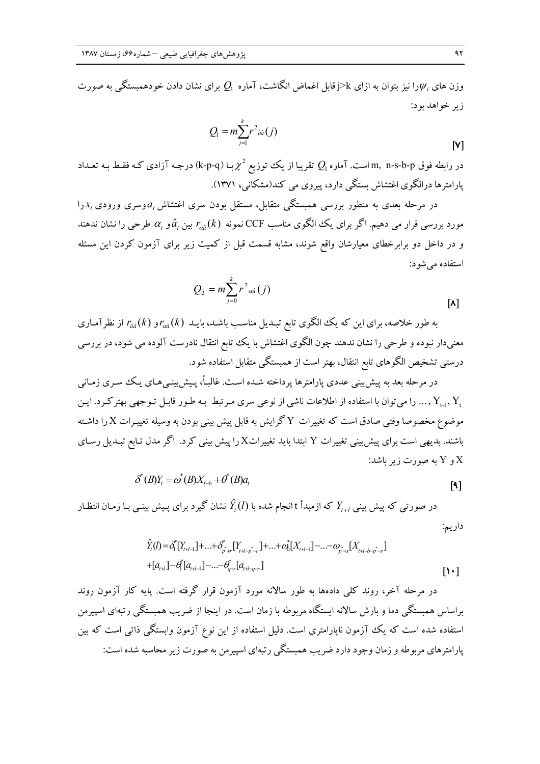وزن های  $\psi$ را نیز بتوان به ازای  $\geq$ زقابل اغماض انگاشت، آماره  $Q_1$  برای نشان دادن خودهمبستگی به صورت زير خواهد يود:

$$
Q_{\!\scriptscriptstyle 1}=m\!\sum_{\scriptscriptstyle j=1}^k\!r^{\scriptscriptstyle 2} {\scriptscriptstyle \hat{a}\hat{a}}(j)
$$

در رابطه فوق m, n-s-b-p است. آماره  $Q_{\mathsf{I}}$  تقریبا از یک توزیع  $\chi^2$  بــا (k-p-q) درجـه آزادی کـه فقـط بـه تعـداد یارامترها درالگوی اغتشاش بستگی دارد، پیروی می کند(مشکانی، ۱۳۷۱).

در مرحله بعدی به منظور بررسی همبستگی متقابل، مستقل بودن سری اغتشاش $a_{_t}$ وسری ورودی  $x_{_t}$ را مورد بررسی قرار می دهیم. اگر برای یک الگوی مناسب CCF نمونه  $r_{\hat{a}}(k)$  بین  $\hat{a}_t$ و  $\alpha$  طرحی را نشان ندهند و در داخل دو برابرخطای معیارشان واقع شوند، مشابه قسمت قبل از کمیت زیر برای آزمون کردن این مسئله استفاده می شو د:

$$
Q_2 = m \sum_{j=0}^{k} r^2 a a(j)
$$
 [A]

به طور خلاصه، برای این که یک الگوی تابع تبـدیل مناسـب باشـد، بایـد  $r_{a\hat a}(k)$ و ( $r_{\hat a\hat a}(k)$  از نظرآمـاری معنیدار نبوده و طرحی را نشان ندهند چون الگوی اغتشاش با یک تابع انتقال نادرست آلوده می شود، در بررسی درستی تشخیص الگوهای تابع انتقال، بهتر است از همبستگی متقابل استفاده شود.

در مرحله بعد به پیش بینی عددی پارامترها پرداخته شـده اسـت. غالبـاً، پـیش بینـبی،هـای پـک سـری زمـانبی ب... را می توان با استفاده از اطلاعات ناشی از نوعی سری مـر تبط بـه طـور قابـل تـوجهی بهتر کـرد. ایـن , Y ... ر موضوع مخصوصا وقتی صادق است که تغییرات Y گرایش به قابل پیش بینی بودن به وسیله تغییـرات X را داشـته باشند. بدیهی است برای پیش بینی تغییرات Y ابتدا باید تغییراتX را پیش بینی کرد. اگر مدل تـابع تبـدیل رسـای  $\mathbf{Y}$  و  $\mathbf{Y}$  به صورت زیر باشد:

> $\delta^{*}(B)Y_{t} = \omega^{*}(B)X_{t-h} + \theta^{*}(B)a_{t}$  $\lceil \cdot \rceil$

در صورتی که پیش بینی  $Y_{t+l}$  که ازمبدأ t انجام شده با  $\hat{Y}_t(l)$  نشان گیرد برای پـیش بینـی بـا زمـان انتظـار داريم:

$$
\hat{Y}_{t}(l) = \delta_{1}^{*}[Y_{t+l-1}] + ... + \delta_{p+r}^{*}[Y_{t+l-p-r}]+...+ \alpha_{0}^{*}[X_{t+l-1}] - ... - \omega_{p+s}[X_{t+l-b-p-s}] \n+ [a_{t+l}] - \theta_{1}^{*}[a_{t+l-1}] - ... - \theta_{q+r}^{*}[a_{t+l-q-r}]
$$
\n[11]

در مرحله آخر، روند کلبی دادهها به طور سالانه مورد آزمون قرار گرفته است. پایه کار آزمون روند براساس همبستگی دما و بارش سالانه ایستگاه مربوطه با زمان است. در اینجا از ضریب همبستگی رتبهای اسپیرمن استفاده شده است که یک آزمون ناپارامتری است. دلیل استفاده از این نوع آزمون وابستگی ذاتی است که بین پارامترهای مربوطه و زمان وجود دارد ضریب همبستگی رتبهای اسپیرمن به صورت زیر محاسبه شده است:

 $[V]$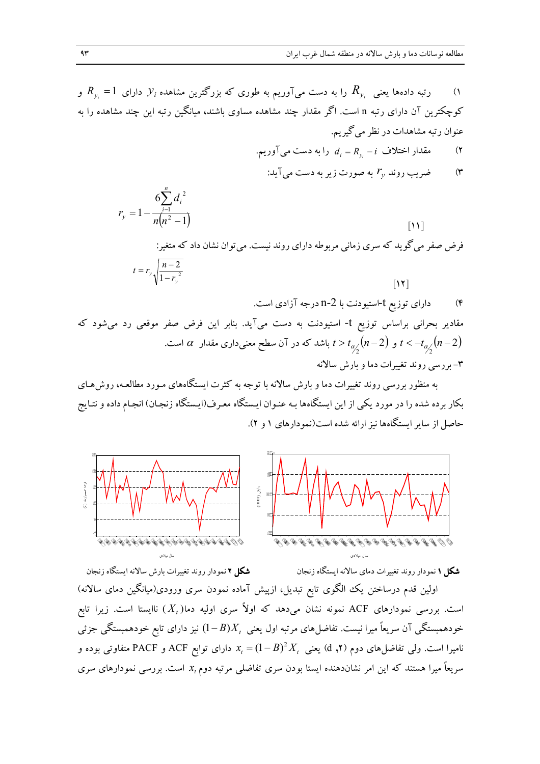$(1)$ 

کوچکترین آن دارای رتبه n است. اگر مقدار چند مشاهده مساوی باشند، میانگین رتبه این چند مشاهده را به عنوان رتبه مشاهدات در نظر می گیریم.

- مقدار اختلاف  $R_v R_v d_i = R_v$  را به دست می آوریم.  $(7)$ 
	- ضریب روند  $r_y$  به صورت زیر به دست میآید:  $($ ۳

$$
r_y = 1 - \frac{6\sum_{i=1}^{n} d_i^2}{n(n^2 - 1)}
$$
 [11]

فرض صفر می گوید که سری زمانی مربوطه دارای روند نیست. میتوان نشان داد که متغیر:  

$$
t = r_y \sqrt{\frac{n-2}{1-r_y^2}}
$$

به منظور بررسی روند تغییرات دما و بارش سالانه با توجه به کثرت ایستگاههای مـورد مطالعـه، روش۵حـای بکار برده شده را در مورد یکی از این ایستگاهها بـه عنـوان ایـستگاه معـرف(ایـستگاه زنجـان) انجـام داده و نتـایج حاصل از سایر ایستگاهها نیز ارائه شده است(نمودارهای ۱ و ۲).



**شکل ۱** نمودار روند تغییرات دمای سالانه ایستگاه زنجان

**شکل ۲** نمودار روند تغییرات بارش سالانه ایستگاه زنجان

اولین قدم درساختن یک الگوی تابع تبدیل، ازپیش آماده نمودن سری ورودی(میانگین دمای سالانه) است. بررسی نمودارهای ACF نمونه نشان میدهد که اولاً سری اولیه دما $(X_t)$ ) ناایستا است. زیرا تابع خودهمبستگی آن سریعاً میرا نیست. تفاضلهای مرتبه اول یعنی  $X_t$ ( $(-B)$ ) نیز دارای تابع خودهمبستگی جزئی نامیرا است. ولی تفاضل های دوم (۲, d) یعنی  $X^{\mathstrut}_{t} = (1\!-\!B)^2 X^{\mathstrut}_{t}$  دارای توابع ACF و PACF متفاوتی بوده و سریعاً میرا هستند که این امر نشاندهنده ایستا بودن سری تفاضلی مرتبه دوم  $x_t$  است. بررسی نمودارهای سری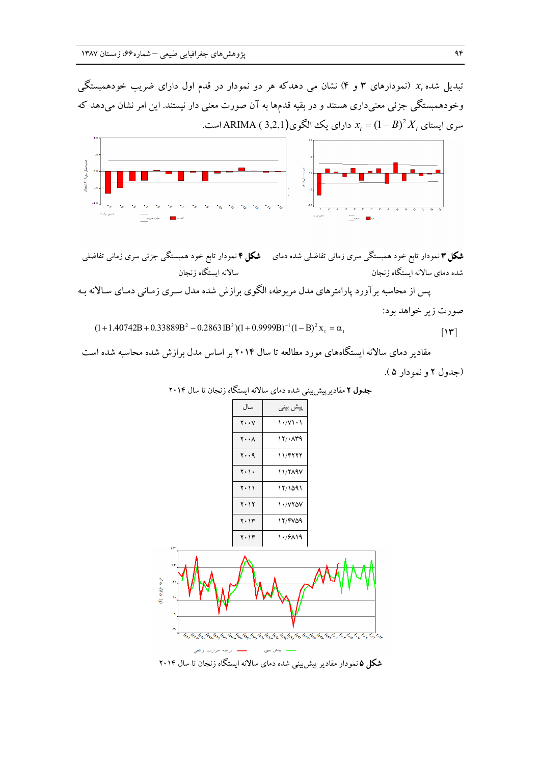تبدیل شده  $x_{_t}$  (نمودارهای ۳ و ۴) نشان می دهدکه هر دو نمودار در قدم اول دارای ضریب خودهمبستگی وخودهمبستگی جزئی معنیداری هستند و در بقیه قدمها به آن صورت معنی دار نیستند. این امر نشان میدهد که سری ایستای  $X_t = (1-B)^2 X$  دارای یک الگوی(ARIMA ( 3,2,1) سری



**شکل ۳** نمودار تابع خود همبستگی سری زمانی تفاضلی شده دمای مس**لگل ۴** نمودار تابع خود همبستگی جزئی سری زمانی تفاضلی سالانه ايستگاه زنجان شده دمای سالانه ایستگاه زنجان

پس از محاسبه برآورد پارامترهای مدل مربوطه، الگوی برازش شده مدل سـری زمـانی دمـای سـالانه بـه صورت زير خواهد بود:

 $(1+1.40742B+0.33889B^{2}-0.28631B^{3})(1+0.9999B)^{-1}(1-B)^{2}x_{1}=\alpha_{1}$  $\lceil \mathbf{v} \rceil$ 

مقادیر دمای سالانه ایستگاههای مورد مطالعه تا سال ۲۰۱۴ بر اساس مدل برازش شده محاسبه شده است (جدول ٢ و نمو دار ۵).

| سال         | ييش بيني           |
|-------------|--------------------|
| $Y \cdot Y$ | $\binom{1 + 1}{1}$ |
| <b>Y</b> A  | ۱۲/۰۸۳۹            |
| ۲۰۰۹        | 11/۴۲۲۲            |
| ۲۰۱۰        | <b>11/719V</b>     |
| ۲۰۱۱        | 12/1091            |
| ۲۰۱۲        | 1.17207            |
| ۲۰۱۳        | 12/4759            |
| ۲۰۱۴        | ۱۰٬۶۸۱۹            |

جدول ۲ مقادیرییش بینی شده دمای سالانه ایستگاه زنجان تا سال ۲۰۱۴



**شکل ۵** نمودار مقادیر پیش بینی شده دمای سالانه ایستگاه زنجان تا سال ۲۰۱۴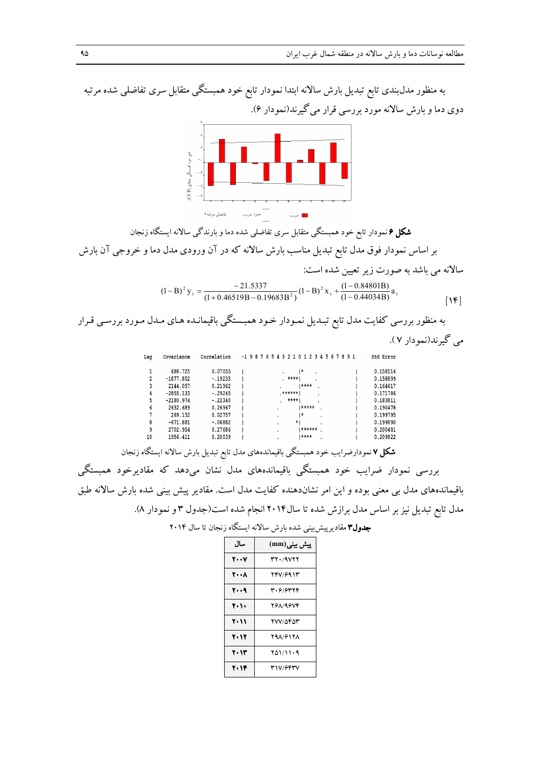به منظور مدلبندی تابع تبدیل بارش سالانه ابتدا نمودار تابع خود همبستگی متقابل سری تفاضلی شده مرتبه دوی دما و بارش سالانه مورد بررسی قرار میگیرند(نمودار ۶).



**شکل ۶** نمودار تابع خود همبستگی متقابل سری تفاضلی شده دما و بارندگی سالانه ایستگاه زنجان بر اساس نمودار فوق مدل تابع تبدیل مناسب بارش سالانه که در آن ورودی مدل دما و خروجی آن بارش

سالانه می باشد به صورت زیر تعیین شده است:  
\n
$$
(1-B)^2 y_t = \frac{-21.5337}{(1+0.46519B-0.19683B^2)} (1-B)^2 x_t + \frac{(1-0.84801B)}{(1-0.44034B)} a_t
$$

به منظور بررسی کفایت مدل تابع تبـدیل نمـودار خـود همبـستگی باقیمانـده هـای مـدل مـورد بررسـی قـرار مي گيرند(نمودار ۷).

| Lag | Covariance  | Correlation | $-198765432101234567891$ |  |   |           |           |     |             |  |  |  |  |  | Std Erro |
|-----|-------------|-------------|--------------------------|--|---|-----------|-----------|-----|-------------|--|--|--|--|--|----------|
|     | 688.725     | 0.07055     |                          |  |   |           |           | I*  |             |  |  |  |  |  | 0.15811  |
|     | $-1877.852$ | $-.19235$   |                          |  |   | $,***1$   |           |     |             |  |  |  |  |  | 0.15889  |
|     | 2144.057    | 0.21962     |                          |  |   |           |           |     | <b>****</b> |  |  |  |  |  | 0.16461  |
|     | $-2855.133$ | $-.29245$   |                          |  |   | $,*****1$ |           |     |             |  |  |  |  |  | 0.17178  |
| 5.  | $-2180.974$ | $-.22340$   |                          |  |   |           | $***$ $+$ |     |             |  |  |  |  |  | 0.18381  |
| 6   | 2632.689    | 0.26967     |                          |  | ٠ |           |           |     | *****       |  |  |  |  |  | 0.19047  |
|     | 269.152     | 0.02757     |                          |  | ٠ |           |           | ١*  |             |  |  |  |  |  | 0.19979  |
| я   | $-671.881$  | $-.06882$   |                          |  | ٠ |           |           | * 1 |             |  |  |  |  |  | 0.19989  |
| ٩   | 2702.954    | 0.27686     |                          |  |   |           |           |     | ******      |  |  |  |  |  | 0.20048  |
| 10  | 1956.411    | 0.20039     |                          |  |   |           |           |     | ****        |  |  |  |  |  | 0.20982  |

**شکل ۷** نمودارضرایب خود همبستگی باقیماندههای مدل تابع تبدیل بارش سالانه ایستگاه زنجان بررسی نمودار ضرایب خود همبستگی باقیماندههای مدل نشان میدهد که مقادیرخود همبستگی باقیماندههای مدل بی معنی بوده و این امر نشاندهنده کفایت مدل است. مقادیر پیش بینی شده بارش سالانه طبق مدل تابع تبدیل نیز بر اساس مدل برازش شده تا سال۲۰۱۴انجام شده است(جدول ۳ و نمودار ۸).

| سال         | پیش بینی(mm)    |
|-------------|-----------------|
| $Y \cdot Y$ | 32.19727        |
| <b>2008</b> | 247/6913        |
| 2009        | 30.6/6344       |
| 7.1.        | 26819674        |
| ۲۰۱۱        | 277/5454        |
| 2012        | <b>YAA/GITA</b> |
| 2013        | $Y_{0}$ 1/11.9  |
| 20 IF       | 317/6447        |

|  |  |  |  | <b>جدول۳ م</b> قادیرپیش بینی شده بارش سالانه ایستگاه زنجان تا سال ۲۰۱۴ |  |  |  |  |  |  |  |  |
|--|--|--|--|------------------------------------------------------------------------|--|--|--|--|--|--|--|--|
|--|--|--|--|------------------------------------------------------------------------|--|--|--|--|--|--|--|--|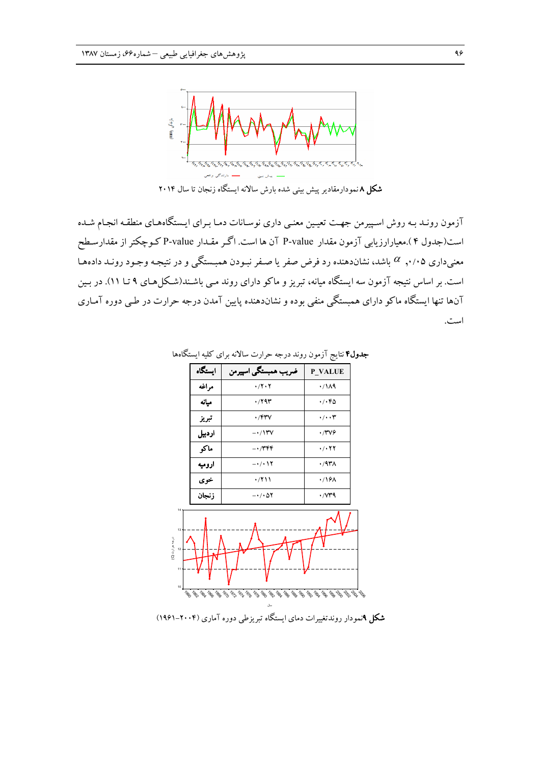

آزمون رونـد بـه روش اسـپیرمن جهـت تعیـین معنـی داری نوسـانات دمـا بـرای ایـستگاههـای منطقـه انجـام شـده است(جدول ۴ ).معیارارزیابی آزمون مقدار P-value آن ها است. اگر مقـدار P-value کـوچکتر از مقدارسـطح معنیداری ۰/۰۵٪ باشد، نشاندهنده رد فرض صفر یا صـفر نبـودن همبـستگی و در نتیجـه وجـود رونـد دادههـا است. بر اساس نتیجه آزمون سه ایستگاه میانه، تبریز و ماکو دارای روند مـی باشـند(شـکل۵هـای ۹ تــا ۱۱). در بـین آنها تنها ایستگاه ماکو دارای همبستگی منفی بوده و نشاندهنده پایین آمدن درجه حرارت در طـی دوره آمـاری است.



جدول۴ نتایج آزمون روند درجه حرارت سالانه برای کلیه ایستگاهها

**شکل ۹**نمودار روندتغییرات دمای ایستگاه تبریزطی دوره آماری (۲۰۰۴–۱۹۶۱)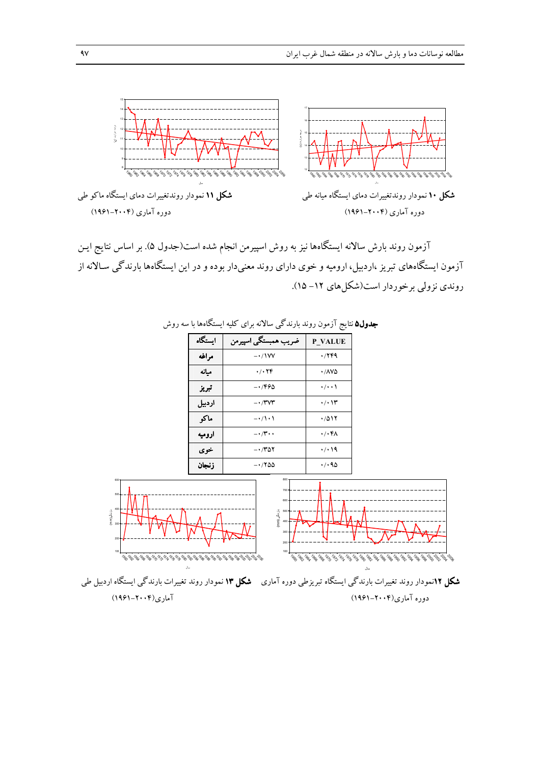

آزمون روند بارش سالانه ایستگاهها نیز به روش اسپیرمن انجام شده است(جدول ۵). بر اساس نتایج ایـن آزمون ایستگاههای تبریز ،اردبیل، ارومیه و خوی دارای روند معنیدار بوده و در این ایستگاهها بارندگی سـالانه از روندی نزولی بر خوردار است(شکل های ۱۲- ۱۵).



جدول۵ نتایج آزمون روند بارندگی سالانه برای کلیه ایستگاهها با سه روش

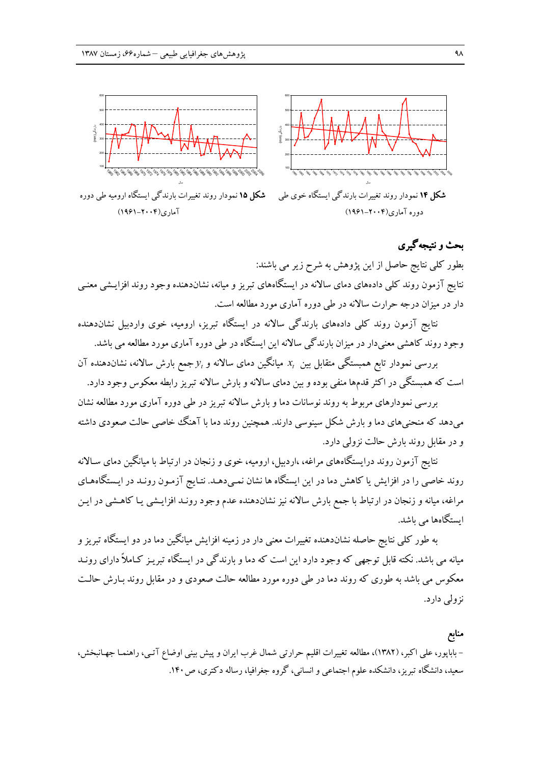

بطور کلی نتایج حاصل از این یژوهش به شرح زیر می باشند: نتایج آزمون روند کلی دادههای دمای سالانه در ایستگاههای تبریز و میانه، نشاندهنده وجود روند افزایـشی معنـی دار در میزان درجه حرارت سالانه در طی دوره آماری مورد مطالعه است.

نتایج آزمون روند کلی دادههای بارندگی سالانه در ایستگاه تبریز، ارومیه، خوی واردبیل نشاندهنده وجود روند کاهشی معنی دار در میزان بارندگی سالانه این ایستگاه در طی دوره آماری مورد مطالعه می باشد.

بررسی نمودار تابع همبستگی متقابل بین  $x_t$  میانگین دمای سالانه و  $y_t$ جمع بارش سالانه، نشان<code>دهنده آن</code> است که همبستگی در اکثر قدمها منفی بوده و بین دمای سالانه و بارش سالانه تبریز رابطه معکوس وجود دارد.

بررسی نمودارهای مربوط به روند نوسانات دما و بارش سالانه تبریز در طی دوره آماری مورد مطالعه نشان میدهد که منحنیهای دما و بارش شکل سینوسی دارند. همچنین روند دما با آهنگ خاصی حالت صعودی داشته و در مقابل روند بارش حالت نزولی دارد.

نتایج آزمون روند درایستگاههای مراغه، ،اردبیل، ارومیه، خوی و زنجان در ارتباط با میانگین دمای سـالانه روند خاصی را در افزایش یا کاهش دما در این ایستگاه ها نشان نمـیدهـد. نتـایج آزمـون رونـد در ایـستگاههـای مراغه، میانه و زنجان در ارتباط با جمع بارش سالانه نیز نشاندهنده عدم وجود رونـد افزایـشی یـا کاهـشی در ایـن ابستگاهها می باشد.

به طور کلی نتایج حاصله نشاندهنده تغییرات معنی دار در زمینه افزایش میانگین دما در دو ایستگاه تبریز و میانه می باشد. نکته قابل توجهی که وجود دارد این است که دما و بارندگی در ایستگاه تبریـز کـاملاً دارای رونـد معکوس می باشد به طوری که روند دما در طی دوره مورد مطالعه حالت صعودی و در مقابل روند بـارش حالـت نزولی دارد.

### منابع

– باباپور، علی اکبر، (۱۳۸۲)، مطالعه تغییرات اقلیم حرارتی شمال غرب ایران و پیش بینی اوضاع آتـی، راهنمـا جهـانبخش، سعید، دانشگاه تبریز، دانشکده علوم اجتماعی و انسانی، گروه جغرافیا، رساله دکتری، ص ۱۴۰.

بحث و نتیجهگیری